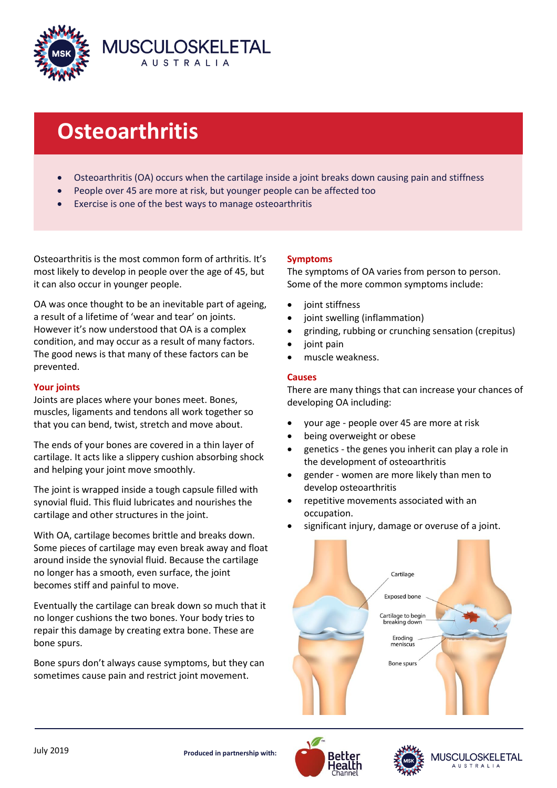

# **Osteoarthritis**

- Osteoarthritis (OA) occurs when the cartilage inside a joint breaks down causing pain and stiffness
- People over 45 are more at risk, but younger people can be affected too
- Exercise is one of the best ways to manage osteoarthritis

Osteoarthritis is the most common form of arthritis. It's most likely to develop in people over the age of 45, but it can also occur in younger people.

OA was once thought to be an inevitable part of ageing, a result of a lifetime of 'wear and tear' on joints. However it's now understood that OA is a complex condition, and may occur as a result of many factors. The good news is that many of these factors can be prevented.

## **Your joints**

Joints are places where your bones meet. Bones, muscles, ligaments and tendons all work together so that you can bend, twist, stretch and move about.

The ends of your bones are covered in a thin layer of cartilage. It acts like a slippery cushion absorbing shock and helping your joint move smoothly.

The joint is wrapped inside a tough capsule filled with synovial fluid. This fluid lubricates and nourishes the cartilage and other structures in the joint.

With OA, cartilage becomes brittle and breaks down. Some pieces of cartilage may even break away and float around inside the synovial fluid. Because the cartilage no longer has a smooth, even surface, the joint becomes stiff and painful to move.

Eventually the cartilage can break down so much that it no longer cushions the two bones. Your body tries to repair this damage by creating extra bone. These are bone spurs.

Bone spurs don't always cause symptoms, but they can sometimes cause pain and restrict joint movement.

# **Symptoms**

The symptoms of OA varies from person to person. Some of the more common symptoms include:

- joint stiffness
- joint swelling (inflammation)
- grinding, rubbing or crunching sensation (crepitus)
- joint pain
- muscle weakness.

#### **Causes**

There are many things that can increase your chances of developing OA including:

- your age people over 45 are more at risk
- being overweight or obese
- genetics the genes you inherit can play a role in the development of osteoarthritis
- gender women are more likely than men to develop osteoarthritis
- repetitive movements associated with an occupation.
- significant injury, damage or overuse of a joint.









USCULOSKELETAL **AUSTRALIA**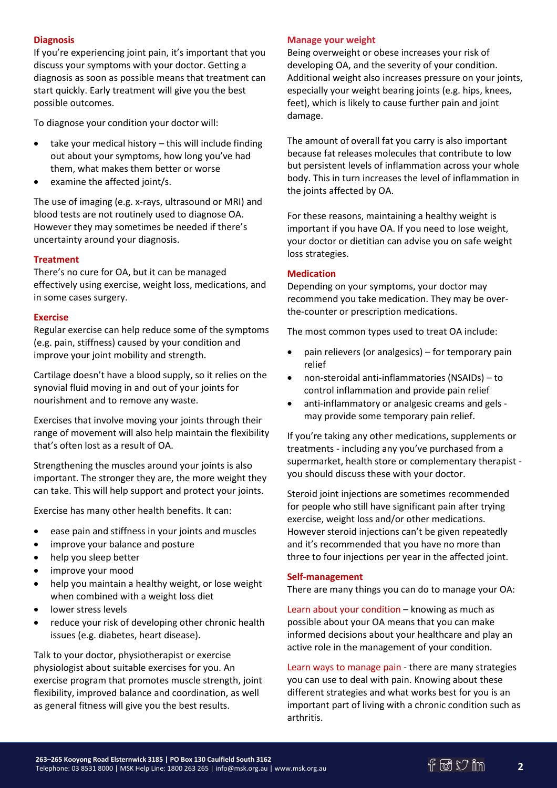# **Diagnosis**

If you're experiencing joint pain, it's important that you discuss your symptoms with your doctor. Getting a diagnosis as soon as possible means that treatment can start quickly. Early treatment will give you the best possible outcomes.

To diagnose your condition your doctor will:

- take your medical history this will include finding out about your symptoms, how long you've had them, what makes them better or worse
- examine the affected joint/s.

The use of imaging (e.g. x-rays, ultrasound or MRI) and blood tests are not routinely used to diagnose OA. However they may sometimes be needed if there's uncertainty around your diagnosis.

# **Treatment**

There's no cure for OA, but it can be managed effectively using exercise, weight loss, medications, and in some cases surgery.

## **Exercise**

Regular exercise can help reduce some of the symptoms (e.g. pain, stiffness) caused by your condition and improve your joint mobility and strength.

Cartilage doesn't have a blood supply, so it relies on the synovial fluid moving in and out of your joints for nourishment and to remove any waste.

Exercises that involve moving your joints through their range of movement will also help maintain the flexibility that's often lost as a result of OA.

Strengthening the muscles around your joints is also important. The stronger they are, the more weight they can take. This will help support and protect your joints.

Exercise has many other health benefits. It can:

- ease pain and stiffness in your joints and muscles
- improve your balance and posture
- help you sleep better
- improve your mood
- help you maintain a healthy weight, or lose weight when combined with a weight loss diet
- lower stress levels
- reduce your risk of developing other chronic health issues (e.g. diabetes, heart disease).

Talk to your doctor, physiotherapist or exercise physiologist about suitable exercises for you. An exercise program that promotes muscle strength, joint flexibility, improved balance and coordination, as well as general fitness will give you the best results.

## **Manage your weight**

Being overweight or obese increases your risk of developing OA, and the severity of your condition. Additional weight also increases pressure on your joints, especially your weight bearing joints (e.g. hips, knees, feet), which is likely to cause further pain and joint damage.

The amount of overall fat you carry is also important because fat releases molecules that contribute to low but persistent levels of inflammation across your whole body. This in turn increases the level of inflammation in the joints affected by OA.

For these reasons, maintaining a healthy weight is important if you have OA. If you need to lose weight, your doctor or dietitian can advise you on safe weight loss strategies.

# **Medication**

Depending on your symptoms, your doctor may recommend you take medication. They may be overthe-counter or prescription medications.

The most common types used to treat OA include:

- pain relievers (or analgesics) for temporary pain relief
- non-steroidal anti-inflammatories (NSAIDs) to control inflammation and provide pain relief
- anti-inflammatory or analgesic creams and gels may provide some temporary pain relief.

If you're taking any other medications, supplements or treatments - including any you've purchased from a supermarket, health store or complementary therapist you should discuss these with your doctor.

Steroid joint injections are sometimes recommended for people who still have significant pain after trying exercise, weight loss and/or other medications. However steroid injections can't be given repeatedly and it's recommended that you have no more than three to four injections per year in the affected joint.

## **Self-management**

There are many things you can do to manage your OA:

Learn about your condition – knowing as much as possible about your OA means that you can make informed decisions about your healthcare and play an active role in the management of your condition.

Learn ways to manage pain - there are many strategies you can use to deal with pain. Knowing about these different strategies and what works best for you is an important part of living with a chronic condition such as arthritis.

**2**